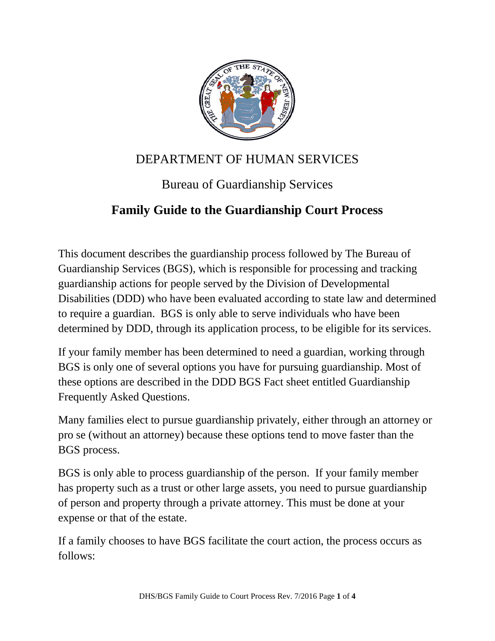

## DEPARTMENT OF HUMAN SERVICES

# Bureau of Guardianship Services

## **Family Guide to the Guardianship Court Process**

This document describes the guardianship process followed by The Bureau of Guardianship Services (BGS), which is responsible for processing and tracking guardianship actions for people served by the Division of Developmental Disabilities (DDD) who have been evaluated according to state law and determined to require a guardian. BGS is only able to serve individuals who have been determined by DDD, through its application process, to be eligible for its services.

If your family member has been determined to need a guardian, working through BGS is only one of several options you have for pursuing guardianship. Most of these options are described in the DDD BGS Fact sheet entitled Guardianship Frequently Asked Questions.

Many families elect to pursue guardianship privately, either through an attorney or pro se (without an attorney) because these options tend to move faster than the BGS process.

BGS is only able to process guardianship of the person. If your family member has property such as a trust or other large assets, you need to pursue guardianship of person and property through a private attorney. This must be done at your expense or that of the estate.

If a family chooses to have BGS facilitate the court action, the process occurs as follows: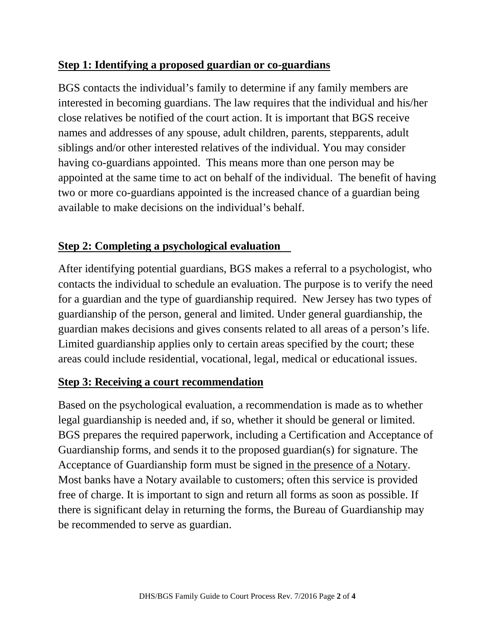## **Step 1: Identifying a proposed guardian or co-guardians**

BGS contacts the individual's family to determine if any family members are interested in becoming guardians. The law requires that the individual and his/her close relatives be notified of the court action. It is important that BGS receive names and addresses of any spouse, adult children, parents, stepparents, adult siblings and/or other interested relatives of the individual. You may consider having co-guardians appointed. This means more than one person may be appointed at the same time to act on behalf of the individual. The benefit of having two or more co-guardians appointed is the increased chance of a guardian being available to make decisions on the individual's behalf.

## **Step 2: Completing a psychological evaluation**

After identifying potential guardians, BGS makes a referral to a psychologist, who contacts the individual to schedule an evaluation. The purpose is to verify the need for a guardian and the type of guardianship required. New Jersey has two types of guardianship of the person, general and limited. Under general guardianship, the guardian makes decisions and gives consents related to all areas of a person's life. Limited guardianship applies only to certain areas specified by the court; these areas could include residential, vocational, legal, medical or educational issues.

### **Step 3: Receiving a court recommendation**

Based on the psychological evaluation, a recommendation is made as to whether legal guardianship is needed and, if so, whether it should be general or limited. BGS prepares the required paperwork, including a Certification and Acceptance of Guardianship forms, and sends it to the proposed guardian(s) for signature. The Acceptance of Guardianship form must be signed in the presence of a Notary. Most banks have a Notary available to customers; often this service is provided free of charge. It is important to sign and return all forms as soon as possible. If there is significant delay in returning the forms, the Bureau of Guardianship may be recommended to serve as guardian.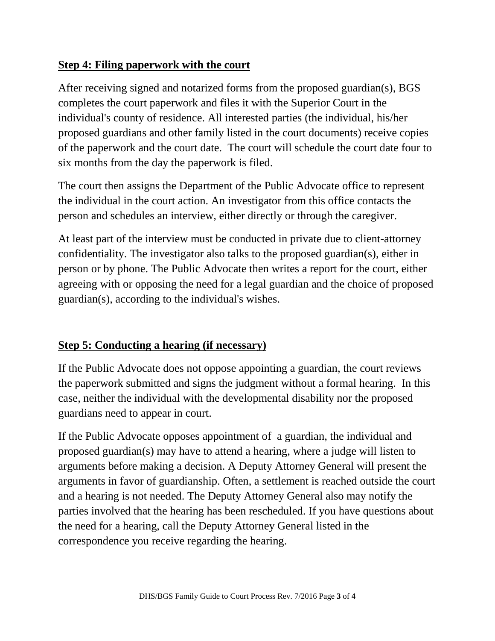### **Step 4: Filing paperwork with the court**

After receiving signed and notarized forms from the proposed guardian(s), BGS completes the court paperwork and files it with the Superior Court in the individual's county of residence. All interested parties (the individual, his/her proposed guardians and other family listed in the court documents) receive copies of the paperwork and the court date. The court will schedule the court date four to six months from the day the paperwork is filed.

The court then assigns the Department of the Public Advocate office to represent the individual in the court action. An investigator from this office contacts the person and schedules an interview, either directly or through the caregiver.

At least part of the interview must be conducted in private due to client-attorney confidentiality. The investigator also talks to the proposed guardian(s), either in person or by phone. The Public Advocate then writes a report for the court, either agreeing with or opposing the need for a legal guardian and the choice of proposed guardian(s), according to the individual's wishes.

### **Step 5: Conducting a hearing (if necessary)**

If the Public Advocate does not oppose appointing a guardian, the court reviews the paperwork submitted and signs the judgment without a formal hearing. In this case, neither the individual with the developmental disability nor the proposed guardians need to appear in court.

If the Public Advocate opposes appointment of a guardian, the individual and proposed guardian(s) may have to attend a hearing, where a judge will listen to arguments before making a decision. A Deputy Attorney General will present the arguments in favor of guardianship. Often, a settlement is reached outside the court and a hearing is not needed. The Deputy Attorney General also may notify the parties involved that the hearing has been rescheduled. If you have questions about the need for a hearing, call the Deputy Attorney General listed in the correspondence you receive regarding the hearing.